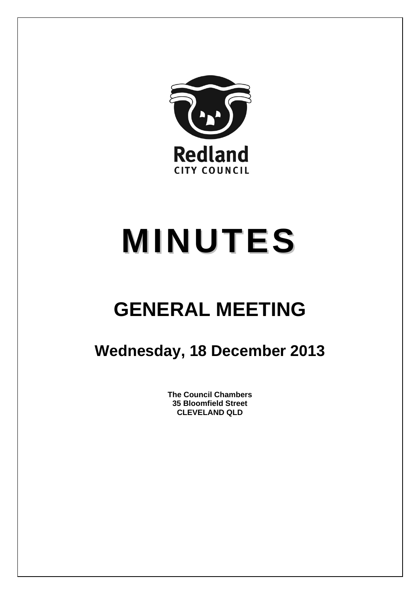

# **MINUTES**

# **GENERAL MEETING**

## **Wednesday, 18 December 2013**

**The Council Chambers 35 Bloomfield Street CLEVELAND QLD**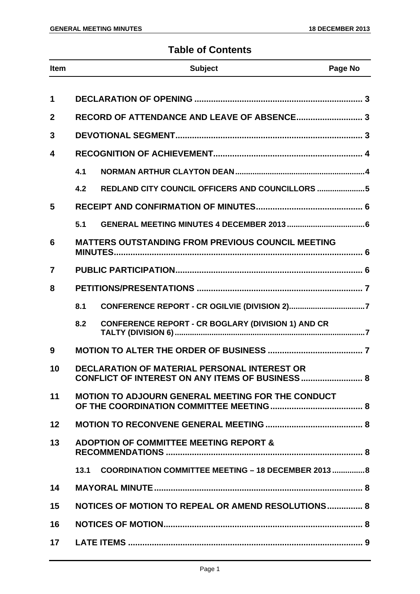### **Table of Contents**

| Item         |     | <b>Subject</b>                                                                                          | Page No |
|--------------|-----|---------------------------------------------------------------------------------------------------------|---------|
| 1            |     |                                                                                                         |         |
| $\mathbf{2}$ |     | RECORD OF ATTENDANCE AND LEAVE OF ABSENCE 3                                                             |         |
|              |     |                                                                                                         |         |
| 3            |     |                                                                                                         |         |
| 4            |     |                                                                                                         |         |
|              | 4.1 |                                                                                                         |         |
|              | 4.2 | REDLAND CITY COUNCIL OFFICERS AND COUNCILLORS 5                                                         |         |
| 5            |     |                                                                                                         |         |
|              | 5.1 |                                                                                                         |         |
| 6            |     | <b>MATTERS OUTSTANDING FROM PREVIOUS COUNCIL MEETING</b>                                                |         |
| 7            |     |                                                                                                         |         |
| 8            |     |                                                                                                         |         |
|              | 8.1 |                                                                                                         |         |
|              | 8.2 | <b>CONFERENCE REPORT - CR BOGLARY (DIVISION 1) AND CR</b>                                               |         |
| 9            |     |                                                                                                         |         |
| 10           |     | DECLARATION OF MATERIAL PERSONAL INTEREST OR<br><b>CONFLICT OF INTEREST ON ANY ITEMS OF BUSINESS  8</b> |         |
| 11           |     | <b>MOTION TO ADJOURN GENERAL MEETING FOR THE CONDUCT</b>                                                |         |
| 12           |     |                                                                                                         |         |
| 13           |     | <b>ADOPTION OF COMMITTEE MEETING REPORT &amp;</b>                                                       |         |
|              |     | 13.1 COORDINATION COMMITTEE MEETING - 18 DECEMBER 2013  8                                               |         |
| 14           |     |                                                                                                         |         |
| 15           |     | NOTICES OF MOTION TO REPEAL OR AMEND RESOLUTIONS 8                                                      |         |
| 16           |     |                                                                                                         |         |
| 17           |     |                                                                                                         |         |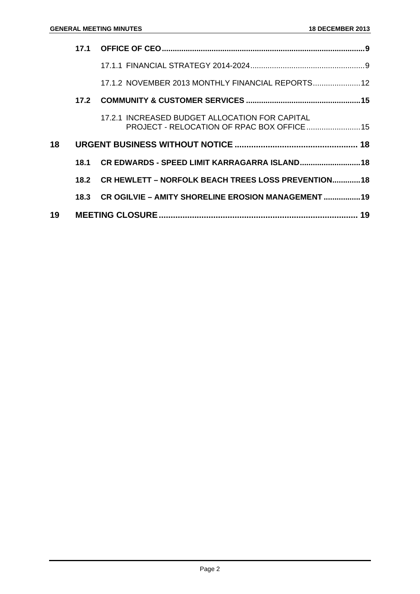|    | 17.1 |                                                                                               |    |
|----|------|-----------------------------------------------------------------------------------------------|----|
|    |      |                                                                                               |    |
|    |      | 17.1.2 NOVEMBER 2013 MONTHLY FINANCIAL REPORTS 12                                             |    |
|    | 17.2 |                                                                                               |    |
|    |      | 17.2.1 INCREASED BUDGET ALLOCATION FOR CAPITAL<br>PROJECT - RELOCATION OF RPAC BOX OFFICE  15 |    |
| 18 |      |                                                                                               |    |
|    | 18.1 | CR EDWARDS - SPEED LIMIT KARRAGARRA ISLAND 18                                                 |    |
|    |      | 18.2 CR HEWLETT - NORFOLK BEACH TREES LOSS PREVENTION 18                                      |    |
|    | 18.3 | CR OGILVIE - AMITY SHORELINE EROSION MANAGEMENT  19                                           |    |
| 19 |      |                                                                                               | 19 |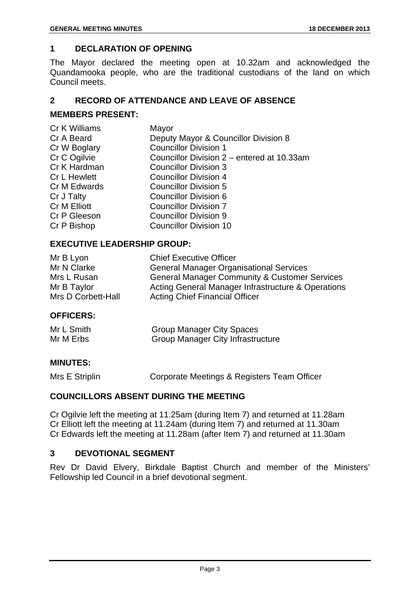### **1 DECLARATION OF OPENING**

The Mayor declared the meeting open at 10.32am and acknowledged the Quandamooka people, who are the traditional custodians of the land on which Council meets.

### **2 RECORD OF ATTENDANCE AND LEAVE OF ABSENCE**

### **MEMBERS PRESENT:**

| Cr K Williams       | Mayor                                      |
|---------------------|--------------------------------------------|
| Cr A Beard          | Deputy Mayor & Councillor Division 8       |
| Cr W Boglary        | <b>Councillor Division 1</b>               |
| Cr C Ogilvie        | Councillor Division 2 - entered at 10.33am |
| Cr K Hardman        | <b>Councillor Division 3</b>               |
| <b>Cr L Hewlett</b> | <b>Councillor Division 4</b>               |
| Cr M Edwards        | <b>Councillor Division 5</b>               |
| Cr J Talty          | <b>Councillor Division 6</b>               |
| Cr M Elliott        | <b>Councillor Division 7</b>               |
| Cr P Gleeson        | <b>Councillor Division 9</b>               |
| Cr P Bishop         | <b>Councillor Division 10</b>              |
|                     |                                            |

### **EXECUTIVE LEADERSHIP GROUP:**

| Mr B Lyon          | <b>Chief Executive Officer</b>                           |
|--------------------|----------------------------------------------------------|
| Mr N Clarke        | <b>General Manager Organisational Services</b>           |
| Mrs L Rusan        | <b>General Manager Community &amp; Customer Services</b> |
| Mr B Taylor        | Acting General Manager Infrastructure & Operations       |
| Mrs D Corbett-Hall | <b>Acting Chief Financial Officer</b>                    |

### **OFFICERS:**

| Mr L Smith | <b>Group Manager City Spaces</b>         |
|------------|------------------------------------------|
| Mr M Erbs  | <b>Group Manager City Infrastructure</b> |

### **MINUTES:**

Mrs E Striplin Corporate Meetings & Registers Team Officer

### **COUNCILLORS ABSENT DURING THE MEETING**

Cr Ogilvie left the meeting at 11.25am (during Item 7) and returned at 11.28am Cr Elliott left the meeting at 11.24am (during Item 7) and returned at 11.30am Cr Edwards left the meeting at 11.28am (after Item 7) and returned at 11.30am

### **3 DEVOTIONAL SEGMENT**

Rev Dr David Elvery, Birkdale Baptist Church and member of the Ministers' Fellowship led Council in a brief devotional segment.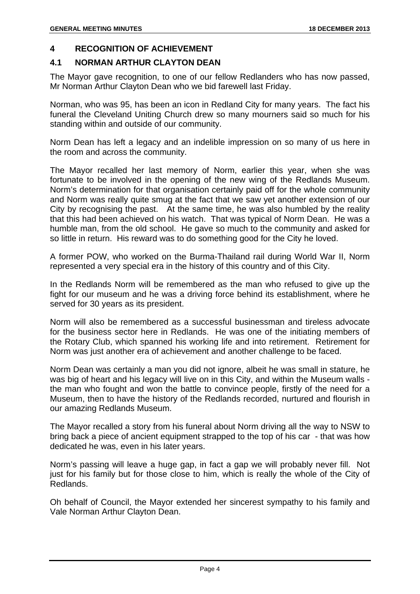### **4 RECOGNITION OF ACHIEVEMENT**

### **4.1 NORMAN ARTHUR CLAYTON DEAN**

The Mayor gave recognition, to one of our fellow Redlanders who has now passed, Mr Norman Arthur Clayton Dean who we bid farewell last Friday.

Norman, who was 95, has been an icon in Redland City for many years. The fact his funeral the Cleveland Uniting Church drew so many mourners said so much for his standing within and outside of our community.

Norm Dean has left a legacy and an indelible impression on so many of us here in the room and across the community.

The Mayor recalled her last memory of Norm, earlier this year, when she was fortunate to be involved in the opening of the new wing of the Redlands Museum. Norm's determination for that organisation certainly paid off for the whole community and Norm was really quite smug at the fact that we saw yet another extension of our City by recognising the past. At the same time, he was also humbled by the reality that this had been achieved on his watch. That was typical of Norm Dean. He was a humble man, from the old school. He gave so much to the community and asked for so little in return. His reward was to do something good for the City he loved.

A former POW, who worked on the Burma-Thailand rail during World War II, Norm represented a very special era in the history of this country and of this City.

In the Redlands Norm will be remembered as the man who refused to give up the fight for our museum and he was a driving force behind its establishment, where he served for 30 years as its president.

Norm will also be remembered as a successful businessman and tireless advocate for the business sector here in Redlands. He was one of the initiating members of the Rotary Club, which spanned his working life and into retirement. Retirement for Norm was just another era of achievement and another challenge to be faced.

Norm Dean was certainly a man you did not ignore, albeit he was small in stature, he was big of heart and his legacy will live on in this City, and within the Museum walls the man who fought and won the battle to convince people, firstly of the need for a Museum, then to have the history of the Redlands recorded, nurtured and flourish in our amazing Redlands Museum.

The Mayor recalled a story from his funeral about Norm driving all the way to NSW to bring back a piece of ancient equipment strapped to the top of his car - that was how dedicated he was, even in his later years.

Norm's passing will leave a huge gap, in fact a gap we will probably never fill. Not just for his family but for those close to him, which is really the whole of the City of Redlands.

Oh behalf of Council, the Mayor extended her sincerest sympathy to his family and Vale Norman Arthur Clayton Dean.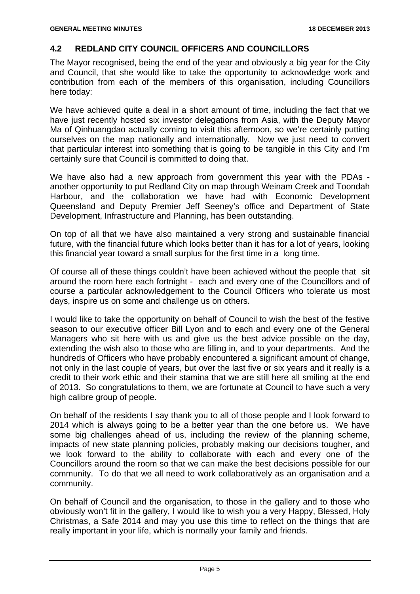### **4.2 REDLAND CITY COUNCIL OFFICERS AND COUNCILLORS**

The Mayor recognised, being the end of the year and obviously a big year for the City and Council, that she would like to take the opportunity to acknowledge work and contribution from each of the members of this organisation, including Councillors here today:

We have achieved quite a deal in a short amount of time, including the fact that we have just recently hosted six investor delegations from Asia, with the Deputy Mayor Ma of Qinhuangdao actually coming to visit this afternoon, so we're certainly putting ourselves on the map nationally and internationally. Now we just need to convert that particular interest into something that is going to be tangible in this City and I'm certainly sure that Council is committed to doing that.

We have also had a new approach from government this year with the PDAs another opportunity to put Redland City on map through Weinam Creek and Toondah Harbour, and the collaboration we have had with Economic Development Queensland and Deputy Premier Jeff Seeney's office and Department of State Development, Infrastructure and Planning, has been outstanding.

On top of all that we have also maintained a very strong and sustainable financial future, with the financial future which looks better than it has for a lot of years, looking this financial year toward a small surplus for the first time in a long time.

Of course all of these things couldn't have been achieved without the people that sit around the room here each fortnight - each and every one of the Councillors and of course a particular acknowledgement to the Council Officers who tolerate us most days, inspire us on some and challenge us on others.

I would like to take the opportunity on behalf of Council to wish the best of the festive season to our executive officer Bill Lyon and to each and every one of the General Managers who sit here with us and give us the best advice possible on the day, extending the wish also to those who are filling in, and to your departments. And the hundreds of Officers who have probably encountered a significant amount of change, not only in the last couple of years, but over the last five or six years and it really is a credit to their work ethic and their stamina that we are still here all smiling at the end of 2013. So congratulations to them, we are fortunate at Council to have such a very high calibre group of people.

On behalf of the residents I say thank you to all of those people and I look forward to 2014 which is always going to be a better year than the one before us. We have some big challenges ahead of us, including the review of the planning scheme, impacts of new state planning policies, probably making our decisions tougher, and we look forward to the ability to collaborate with each and every one of the Councillors around the room so that we can make the best decisions possible for our community. To do that we all need to work collaboratively as an organisation and a community.

On behalf of Council and the organisation, to those in the gallery and to those who obviously won't fit in the gallery, I would like to wish you a very Happy, Blessed, Holy Christmas, a Safe 2014 and may you use this time to reflect on the things that are really important in your life, which is normally your family and friends.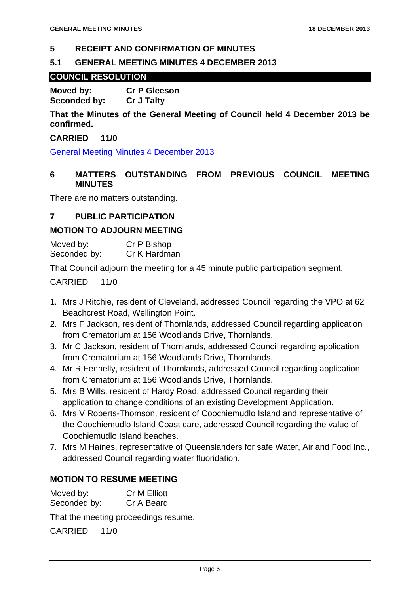### **5 RECEIPT AND CONFIRMATION OF MINUTES**

### **5.1 GENERAL MEETING MINUTES 4 DECEMBER 2013**

### **COUNCIL RESOLUTION**

**Moved by: Cr P Gleeson Seconded by: Cr J Talty** 

**That the Minutes of the General Meeting of Council held 4 December 2013 be confirmed.** 

### **CARRIED 11/0**

General Meeting Minutes 4 December 2013

### **6 MATTERS OUTSTANDING FROM PREVIOUS COUNCIL MEETING MINUTES**

There are no matters outstanding.

### **7 PUBLIC PARTICIPATION**

### **MOTION TO ADJOURN MEETING**

Moved by: Cr P Bishop Seconded by: Cr K Hardman

That Council adjourn the meeting for a 45 minute public participation segment.

### CARRIED 11/0

- 1. Mrs J Ritchie, resident of Cleveland, addressed Council regarding the VPO at 62 Beachcrest Road, Wellington Point.
- 2. Mrs F Jackson, resident of Thornlands, addressed Council regarding application from Crematorium at 156 Woodlands Drive, Thornlands.
- 3. Mr C Jackson, resident of Thornlands, addressed Council regarding application from Crematorium at 156 Woodlands Drive, Thornlands.
- 4. Mr R Fennelly, resident of Thornlands, addressed Council regarding application from Crematorium at 156 Woodlands Drive, Thornlands.
- 5. Mrs B Wills, resident of Hardy Road, addressed Council regarding their application to change conditions of an existing Development Application.
- 6. Mrs V Roberts-Thomson, resident of Coochiemudlo Island and representative of the Coochiemudlo Island Coast care, addressed Council regarding the value of Coochiemudlo Island beaches.
- 7. Mrs M Haines, representative of Queenslanders for safe Water, Air and Food Inc., addressed Council regarding water fluoridation.

### **MOTION TO RESUME MEETING**

Moved by: Cr M Elliott Seconded by: Cr A Beard

That the meeting proceedings resume.

CARRIED 11/0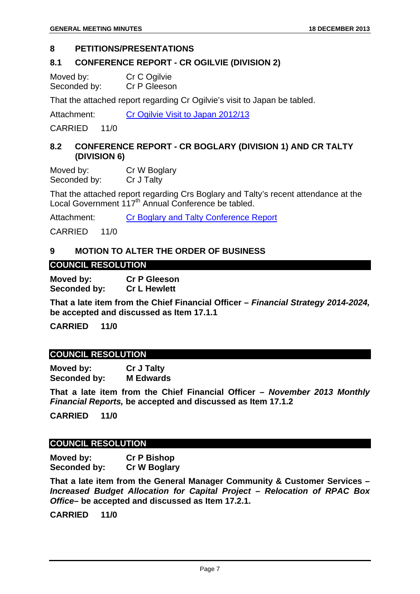### **8 PETITIONS/PRESENTATIONS**

### **8.1 CONFERENCE REPORT - CR OGILVIE (DIVISION 2)**

Moved by: Cr C Ogilvie Seconded by: Cr P Gleeson

That the attached report regarding Cr Ogilvie's visit to Japan be tabled.

Attachment: Cr Ogilvie Visit to Japan 2012/13

CARRIED 11/0

### **8.2 CONFERENCE REPORT - CR BOGLARY (DIVISION 1) AND CR TALTY (DIVISION 6)**

Moved by: Cr W Boglary Seconded by: Cr J Talty

That the attached report regarding Crs Boglary and Talty's recent attendance at the Local Government 117<sup>th</sup> Annual Conference be tabled.

Attachment: Cr Boglary and Talty Conference Report

CARRIED 11/0

### **9 MOTION TO ALTER THE ORDER OF BUSINESS**

### **COUNCIL RESOLUTION**

**Moved by: Cr P Gleeson Seconded by: Cr L Hewlett** 

**That a late item from the Chief Financial Officer –** *Financial Strategy 2014-2024,*  **be accepted and discussed as Item 17.1.1** 

**CARRIED 11/0** 

### **COUNCIL RESOLUTION**

**Moved by: Cr J Talty Seconded by: M Edwards** 

**That a late item from the Chief Financial Officer –** *November 2013 Monthly Financial Reports,* **be accepted and discussed as Item 17.1.2** 

**CARRIED 11/0** 

### **COUNCIL RESOLUTION**

**Moved by: Cr P Bishop Seconded by: Cr W Boglary** 

**That a late item from the General Manager Community & Customer Services –**  *Increased Budget Allocation for Capital Project – Relocation of RPAC Box Office***– be accepted and discussed as Item 17.2.1.** 

**CARRIED 11/0**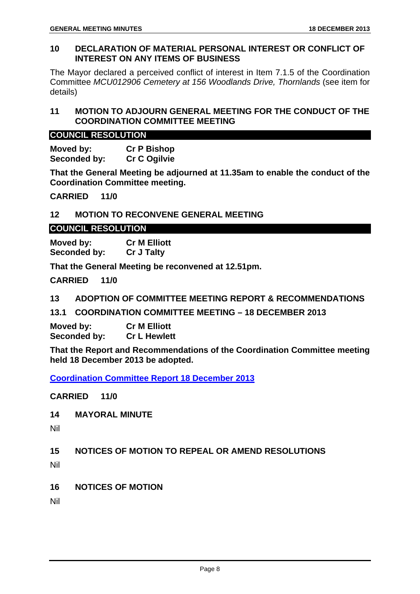### **10 DECLARATION OF MATERIAL PERSONAL INTEREST OR CONFLICT OF INTEREST ON ANY ITEMS OF BUSINESS**

The Mayor declared a perceived conflict of interest in Item 7.1.5 of the Coordination Committee *MCU012906 Cemetery at 156 Woodlands Drive, Thornlands* (see item for details)

### **11 MOTION TO ADJOURN GENERAL MEETING FOR THE CONDUCT OF THE COORDINATION COMMITTEE MEETING**

### **COUNCIL RESOLUTION**

**Moved by: Cr P Bishop**  Seconded by: Cr C Ogilvie

**That the General Meeting be adjourned at 11.35am to enable the conduct of the Coordination Committee meeting.** 

**CARRIED 11/0** 

### **12 MOTION TO RECONVENE GENERAL MEETING**

### **COUNCIL RESOLUTION**

**Moved by: Cr M Elliott Seconded by: Cr J Talty** 

**That the General Meeting be reconvened at 12.51pm.** 

**CARRIED 11/0** 

**13 ADOPTION OF COMMITTEE MEETING REPORT & RECOMMENDATIONS** 

**13.1 COORDINATION COMMITTEE MEETING – 18 DECEMBER 2013** 

**Moved by: Cr M Elliott Seconded by: Cr L Hewlett** 

**That the Report and Recommendations of the Coordination Committee meeting held 18 December 2013 be adopted.** 

**Coordination Committee Report 18 December 2013**

**CARRIED 11/0** 

**14 MAYORAL MINUTE** 

Nil

**15 NOTICES OF MOTION TO REPEAL OR AMEND RESOLUTIONS** 

Nil

**16 NOTICES OF MOTION** 

Nil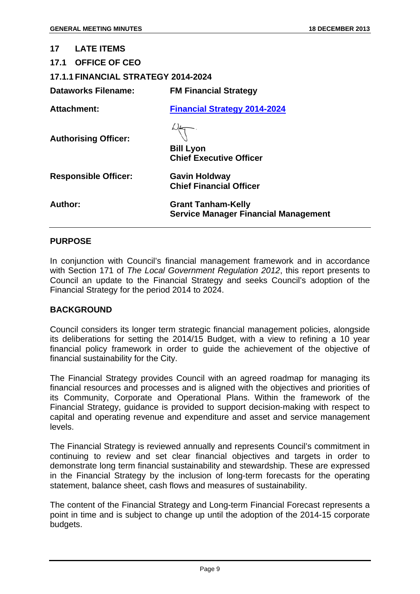| 17<br><b>LATE ITEMS</b>                    |                                                                          |
|--------------------------------------------|--------------------------------------------------------------------------|
| 17.1 OFFICE OF CEO                         |                                                                          |
| <b>17.1.1 FINANCIAL STRATEGY 2014-2024</b> |                                                                          |
| <b>Dataworks Filename:</b>                 | <b>FM Financial Strategy</b>                                             |
| Attachment:                                | <b>Financial Strategy 2014-2024</b>                                      |
| <b>Authorising Officer:</b>                | <b>Bill Lyon</b><br><b>Chief Executive Officer</b>                       |
| <b>Responsible Officer:</b>                | <b>Gavin Holdway</b><br><b>Chief Financial Officer</b>                   |
| Author:                                    | <b>Grant Tanham-Kelly</b><br><b>Service Manager Financial Management</b> |
|                                            |                                                                          |

### **PURPOSE**

In conjunction with Council's financial management framework and in accordance with Section 171 of *The Local Government Regulation 2012*, this report presents to Council an update to the Financial Strategy and seeks Council's adoption of the Financial Strategy for the period 2014 to 2024.

### **BACKGROUND**

Council considers its longer term strategic financial management policies, alongside its deliberations for setting the 2014/15 Budget, with a view to refining a 10 year financial policy framework in order to guide the achievement of the objective of financial sustainability for the City.

The Financial Strategy provides Council with an agreed roadmap for managing its financial resources and processes and is aligned with the objectives and priorities of its Community, Corporate and Operational Plans. Within the framework of the Financial Strategy, guidance is provided to support decision-making with respect to capital and operating revenue and expenditure and asset and service management levels.

The Financial Strategy is reviewed annually and represents Council's commitment in continuing to review and set clear financial objectives and targets in order to demonstrate long term financial sustainability and stewardship. These are expressed in the Financial Strategy by the inclusion of long-term forecasts for the operating statement, balance sheet, cash flows and measures of sustainability.

The content of the Financial Strategy and Long-term Financial Forecast represents a point in time and is subject to change up until the adoption of the 2014-15 corporate budgets.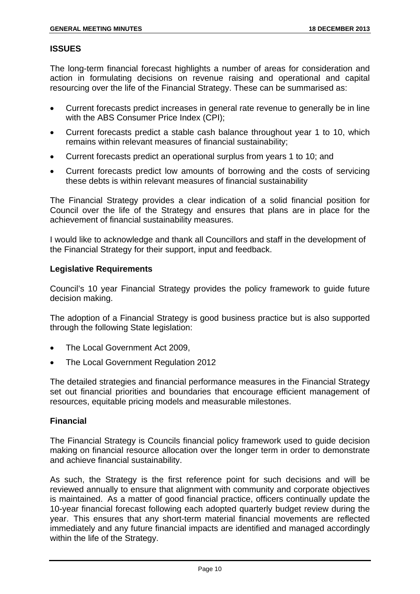### **ISSUES**

The long-term financial forecast highlights a number of areas for consideration and action in formulating decisions on revenue raising and operational and capital resourcing over the life of the Financial Strategy. These can be summarised as:

- Current forecasts predict increases in general rate revenue to generally be in line with the ABS Consumer Price Index (CPI);
- Current forecasts predict a stable cash balance throughout year 1 to 10, which remains within relevant measures of financial sustainability;
- Current forecasts predict an operational surplus from years 1 to 10; and
- Current forecasts predict low amounts of borrowing and the costs of servicing these debts is within relevant measures of financial sustainability

The Financial Strategy provides a clear indication of a solid financial position for Council over the life of the Strategy and ensures that plans are in place for the achievement of financial sustainability measures.

I would like to acknowledge and thank all Councillors and staff in the development of the Financial Strategy for their support, input and feedback.

### **Legislative Requirements**

Council's 10 year Financial Strategy provides the policy framework to guide future decision making.

The adoption of a Financial Strategy is good business practice but is also supported through the following State legislation:

- The Local Government Act 2009,
- The Local Government Regulation 2012

The detailed strategies and financial performance measures in the Financial Strategy set out financial priorities and boundaries that encourage efficient management of resources, equitable pricing models and measurable milestones.

### **Financial**

The Financial Strategy is Councils financial policy framework used to guide decision making on financial resource allocation over the longer term in order to demonstrate and achieve financial sustainability.

As such, the Strategy is the first reference point for such decisions and will be reviewed annually to ensure that alignment with community and corporate objectives is maintained. As a matter of good financial practice, officers continually update the 10-year financial forecast following each adopted quarterly budget review during the year. This ensures that any short-term material financial movements are reflected immediately and any future financial impacts are identified and managed accordingly within the life of the Strategy.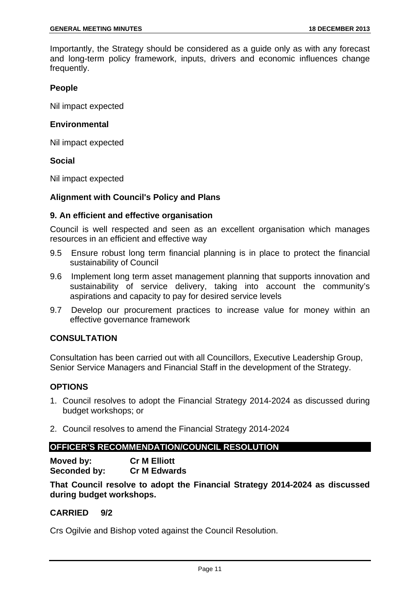Importantly, the Strategy should be considered as a guide only as with any forecast and long-term policy framework, inputs, drivers and economic influences change frequently.

### **People**

Nil impact expected

### **Environmental**

Nil impact expected

### **Social**

Nil impact expected

### **Alignment with Council's Policy and Plans**

### **9. An efficient and effective organisation**

Council is well respected and seen as an excellent organisation which manages resources in an efficient and effective way

- 9.5 Ensure robust long term financial planning is in place to protect the financial sustainability of Council
- 9.6 Implement long term asset management planning that supports innovation and sustainability of service delivery, taking into account the community's aspirations and capacity to pay for desired service levels
- 9.7 Develop our procurement practices to increase value for money within an effective governance framework

### **CONSULTATION**

Consultation has been carried out with all Councillors, Executive Leadership Group, Senior Service Managers and Financial Staff in the development of the Strategy.

### **OPTIONS**

- 1. Council resolves to adopt the Financial Strategy 2014-2024 as discussed during budget workshops; or
- 2. Council resolves to amend the Financial Strategy 2014-2024

### **OFFICER'S RECOMMENDATION/COUNCIL RESOLUTION**

**Moved by: Cr M Elliott Seconded by: Cr M Edwards** 

**That Council resolve to adopt the Financial Strategy 2014-2024 as discussed during budget workshops.** 

### **CARRIED 9/2**

Crs Ogilvie and Bishop voted against the Council Resolution.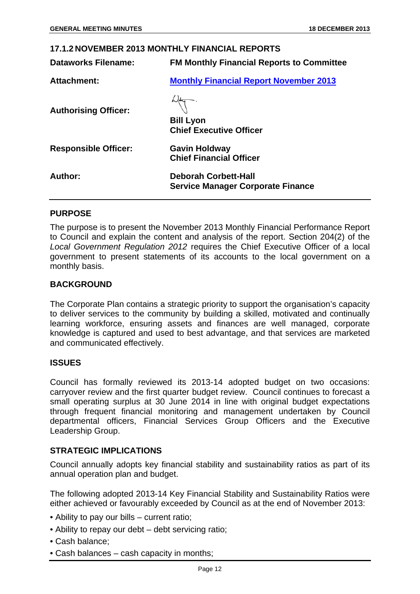| <b>17.1.2 NOVEMBER 2013 MONTHLY FINANCIAL REPORTS</b> |                                                                         |
|-------------------------------------------------------|-------------------------------------------------------------------------|
| Dataworks Filename:                                   | <b>FM Monthly Financial Reports to Committee</b>                        |
| <b>Attachment:</b>                                    | <b>Monthly Financial Report November 2013</b>                           |
| <b>Authorising Officer:</b>                           | <b>Bill Lyon</b><br><b>Chief Executive Officer</b>                      |
| <b>Responsible Officer:</b>                           | <b>Gavin Holdway</b><br><b>Chief Financial Officer</b>                  |
| Author:                                               | <b>Deborah Corbett-Hall</b><br><b>Service Manager Corporate Finance</b> |

**PURPOSE** 

### The purpose is to present the November 2013 Monthly Financial Performance Report to Council and explain the content and analysis of the report. Section 204(2) of the *Local Government Regulation 2012* requires the Chief Executive Officer of a local government to present statements of its accounts to the local government on a monthly basis.

### **BACKGROUND**

The Corporate Plan contains a strategic priority to support the organisation's capacity to deliver services to the community by building a skilled, motivated and continually learning workforce, ensuring assets and finances are well managed, corporate knowledge is captured and used to best advantage, and that services are marketed and communicated effectively.

### **ISSUES**

Council has formally reviewed its 2013-14 adopted budget on two occasions: carryover review and the first quarter budget review. Council continues to forecast a small operating surplus at 30 June 2014 in line with original budget expectations through frequent financial monitoring and management undertaken by Council departmental officers, Financial Services Group Officers and the Executive Leadership Group.

### **STRATEGIC IMPLICATIONS**

Council annually adopts key financial stability and sustainability ratios as part of its annual operation plan and budget.

The following adopted 2013-14 Key Financial Stability and Sustainability Ratios were either achieved or favourably exceeded by Council as at the end of November 2013:

- Ability to pay our bills current ratio;
- Ability to repay our debt debt servicing ratio;
- Cash balance;
- Cash balances cash capacity in months;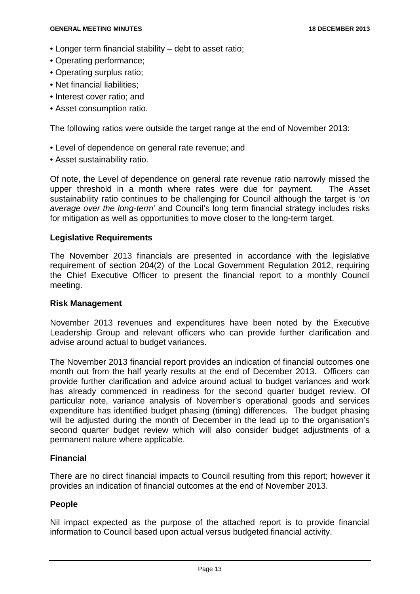- Longer term financial stability debt to asset ratio;
- Operating performance:
- Operating surplus ratio;
- Net financial liabilities:
- Interest cover ratio; and
- Asset consumption ratio.

The following ratios were outside the target range at the end of November 2013:

- Level of dependence on general rate revenue; and
- Asset sustainability ratio.

Of note, the Level of dependence on general rate revenue ratio narrowly missed the upper threshold in a month where rates were due for payment. The Asset sustainability ratio continues to be challenging for Council although the target is *'on average over the long-term'* and Council's long term financial strategy includes risks for mitigation as well as opportunities to move closer to the long-term target.

### **Legislative Requirements**

The November 2013 financials are presented in accordance with the legislative requirement of section 204(2) of the Local Government Regulation 2012, requiring the Chief Executive Officer to present the financial report to a monthly Council meeting.

### **Risk Management**

November 2013 revenues and expenditures have been noted by the Executive Leadership Group and relevant officers who can provide further clarification and advise around actual to budget variances.

The November 2013 financial report provides an indication of financial outcomes one month out from the half yearly results at the end of December 2013. Officers can provide further clarification and advice around actual to budget variances and work has already commenced in readiness for the second quarter budget review. Of particular note, variance analysis of November's operational goods and services expenditure has identified budget phasing (timing) differences. The budget phasing will be adjusted during the month of December in the lead up to the organisation's second quarter budget review which will also consider budget adjustments of a permanent nature where applicable.

### **Financial**

There are no direct financial impacts to Council resulting from this report; however it provides an indication of financial outcomes at the end of November 2013.

### **People**

Nil impact expected as the purpose of the attached report is to provide financial information to Council based upon actual versus budgeted financial activity.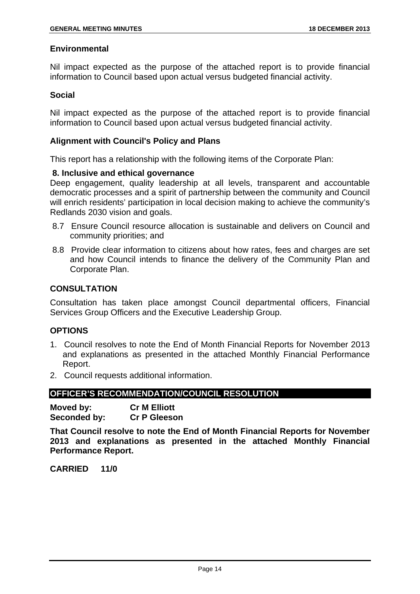### **Environmental**

Nil impact expected as the purpose of the attached report is to provide financial information to Council based upon actual versus budgeted financial activity.

### **Social**

Nil impact expected as the purpose of the attached report is to provide financial information to Council based upon actual versus budgeted financial activity.

### **Alignment with Council's Policy and Plans**

This report has a relationship with the following items of the Corporate Plan:

### **8. Inclusive and ethical governance**

Deep engagement, quality leadership at all levels, transparent and accountable democratic processes and a spirit of partnership between the community and Council will enrich residents' participation in local decision making to achieve the community's Redlands 2030 vision and goals.

- 8.7 Ensure Council resource allocation is sustainable and delivers on Council and community priorities; and
- 8.8 Provide clear information to citizens about how rates, fees and charges are set and how Council intends to finance the delivery of the Community Plan and Corporate Plan.

### **CONSULTATION**

Consultation has taken place amongst Council departmental officers, Financial Services Group Officers and the Executive Leadership Group.

### **OPTIONS**

- 1. Council resolves to note the End of Month Financial Reports for November 2013 and explanations as presented in the attached Monthly Financial Performance Report.
- 2. Council requests additional information.

### **OFFICER'S RECOMMENDATION/COUNCIL RESOLUTION**

**Moved by: Cr M Elliott Seconded by: Cr P Gleeson** 

**That Council resolve to note the End of Month Financial Reports for November 2013 and explanations as presented in the attached Monthly Financial Performance Report.**

**CARRIED 11/0**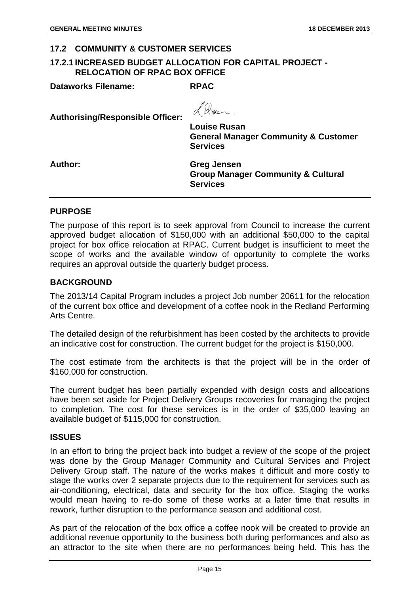### **17.2 COMMUNITY & CUSTOMER SERVICES**

### **17.2.1 INCREASED BUDGET ALLOCATION FOR CAPITAL PROJECT - RELOCATION OF RPAC BOX OFFICE**

**Dataworks Filename: RPAC** 

**Authorising/Responsible Officer:** 

Ros

**Louise Rusan General Manager Community & Customer Services** 

**Author: Greg Jensen Group Manager Community & Cultural Services** 

### **PURPOSE**

The purpose of this report is to seek approval from Council to increase the current approved budget allocation of \$150,000 with an additional \$50,000 to the capital project for box office relocation at RPAC. Current budget is insufficient to meet the scope of works and the available window of opportunity to complete the works requires an approval outside the quarterly budget process.

### **BACKGROUND**

The 2013/14 Capital Program includes a project Job number 20611 for the relocation of the current box office and development of a coffee nook in the Redland Performing Arts Centre.

The detailed design of the refurbishment has been costed by the architects to provide an indicative cost for construction. The current budget for the project is \$150,000.

The cost estimate from the architects is that the project will be in the order of \$160,000 for construction.

The current budget has been partially expended with design costs and allocations have been set aside for Project Delivery Groups recoveries for managing the project to completion. The cost for these services is in the order of \$35,000 leaving an available budget of \$115,000 for construction.

### **ISSUES**

In an effort to bring the project back into budget a review of the scope of the project was done by the Group Manager Community and Cultural Services and Project Delivery Group staff. The nature of the works makes it difficult and more costly to stage the works over 2 separate projects due to the requirement for services such as air-conditioning, electrical, data and security for the box office. Staging the works would mean having to re-do some of these works at a later time that results in rework, further disruption to the performance season and additional cost.

As part of the relocation of the box office a coffee nook will be created to provide an additional revenue opportunity to the business both during performances and also as an attractor to the site when there are no performances being held. This has the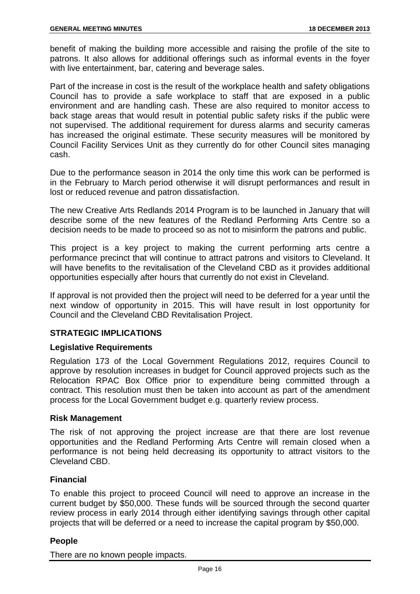benefit of making the building more accessible and raising the profile of the site to patrons. It also allows for additional offerings such as informal events in the foyer with live entertainment, bar, catering and beverage sales.

Part of the increase in cost is the result of the workplace health and safety obligations Council has to provide a safe workplace to staff that are exposed in a public environment and are handling cash. These are also required to monitor access to back stage areas that would result in potential public safety risks if the public were not supervised. The additional requirement for duress alarms and security cameras has increased the original estimate. These security measures will be monitored by Council Facility Services Unit as they currently do for other Council sites managing cash.

Due to the performance season in 2014 the only time this work can be performed is in the February to March period otherwise it will disrupt performances and result in lost or reduced revenue and patron dissatisfaction.

The new Creative Arts Redlands 2014 Program is to be launched in January that will describe some of the new features of the Redland Performing Arts Centre so a decision needs to be made to proceed so as not to misinform the patrons and public.

This project is a key project to making the current performing arts centre a performance precinct that will continue to attract patrons and visitors to Cleveland. It will have benefits to the revitalisation of the Cleveland CBD as it provides additional opportunities especially after hours that currently do not exist in Cleveland.

If approval is not provided then the project will need to be deferred for a year until the next window of opportunity in 2015. This will have result in lost opportunity for Council and the Cleveland CBD Revitalisation Project.

### **STRATEGIC IMPLICATIONS**

### **Legislative Requirements**

Regulation 173 of the Local Government Regulations 2012, requires Council to approve by resolution increases in budget for Council approved projects such as the Relocation RPAC Box Office prior to expenditure being committed through a contract. This resolution must then be taken into account as part of the amendment process for the Local Government budget e.g. quarterly review process.

### **Risk Management**

The risk of not approving the project increase are that there are lost revenue opportunities and the Redland Performing Arts Centre will remain closed when a performance is not being held decreasing its opportunity to attract visitors to the Cleveland CBD.

### **Financial**

To enable this project to proceed Council will need to approve an increase in the current budget by \$50,000. These funds will be sourced through the second quarter review process in early 2014 through either identifying savings through other capital projects that will be deferred or a need to increase the capital program by \$50,000.

### **People**

There are no known people impacts.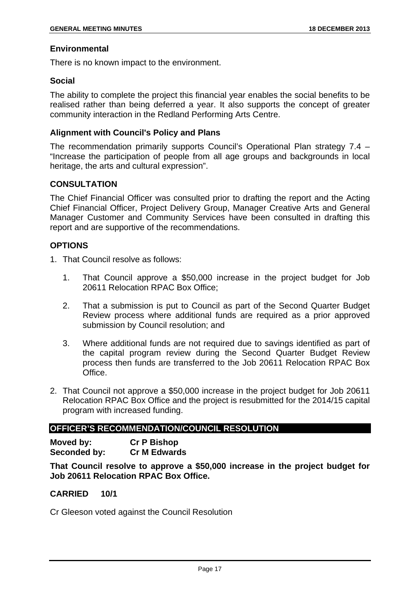### **Environmental**

There is no known impact to the environment.

### **Social**

The ability to complete the project this financial year enables the social benefits to be realised rather than being deferred a year. It also supports the concept of greater community interaction in the Redland Performing Arts Centre.

### **Alignment with Council's Policy and Plans**

The recommendation primarily supports Council's Operational Plan strategy 7.4 – "Increase the participation of people from all age groups and backgrounds in local heritage, the arts and cultural expression".

### **CONSULTATION**

The Chief Financial Officer was consulted prior to drafting the report and the Acting Chief Financial Officer, Project Delivery Group, Manager Creative Arts and General Manager Customer and Community Services have been consulted in drafting this report and are supportive of the recommendations.

### **OPTIONS**

- 1. That Council resolve as follows:
	- 1. That Council approve a \$50,000 increase in the project budget for Job 20611 Relocation RPAC Box Office;
	- 2. That a submission is put to Council as part of the Second Quarter Budget Review process where additional funds are required as a prior approved submission by Council resolution; and
	- 3. Where additional funds are not required due to savings identified as part of the capital program review during the Second Quarter Budget Review process then funds are transferred to the Job 20611 Relocation RPAC Box Office.
- 2. That Council not approve a \$50,000 increase in the project budget for Job 20611 Relocation RPAC Box Office and the project is resubmitted for the 2014/15 capital program with increased funding.

### **OFFICER'S RECOMMENDATION/COUNCIL RESOLUTION**

**Moved by: Cr P Bishop Seconded by: Cr M Edwards** 

**That Council resolve to approve a \$50,000 increase in the project budget for Job 20611 Relocation RPAC Box Office.**

### **CARRIED 10/1**

Cr Gleeson voted against the Council Resolution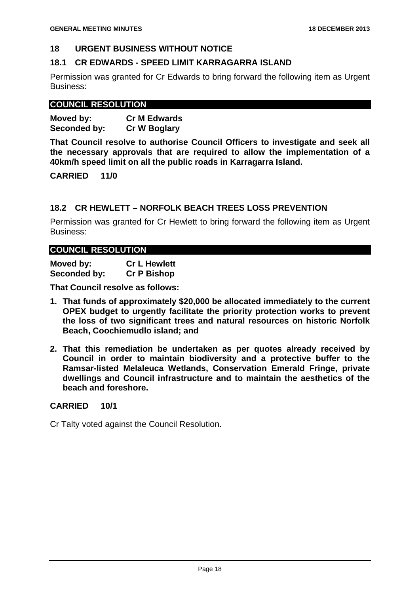### **18 URGENT BUSINESS WITHOUT NOTICE**

### **18.1 CR EDWARDS - SPEED LIMIT KARRAGARRA ISLAND**

Permission was granted for Cr Edwards to bring forward the following item as Urgent Business:

### **COUNCIL RESOLUTION**

| Moved by:    | <b>Cr M Edwards</b> |
|--------------|---------------------|
| Seconded by: | <b>Cr W Boglary</b> |

**That Council resolve to authorise Council Officers to investigate and seek all the necessary approvals that are required to allow the implementation of a 40km/h speed limit on all the public roads in Karragarra Island.** 

**CARRIED 11/0** 

### **18.2 CR HEWLETT – NORFOLK BEACH TREES LOSS PREVENTION**

Permission was granted for Cr Hewlett to bring forward the following item as Urgent Business:

### **COUNCIL RESOLUTION**

**Moved by: Cr L Hewlett Seconded by: Cr P Bishop** 

**That Council resolve as follows:** 

- **1. That funds of approximately \$20,000 be allocated immediately to the current OPEX budget to urgently facilitate the priority protection works to prevent the loss of two significant trees and natural resources on historic Norfolk Beach, Coochiemudlo island; and**
- **2. That this remediation be undertaken as per quotes already received by Council in order to maintain biodiversity and a protective buffer to the Ramsar-listed Melaleuca Wetlands, Conservation Emerald Fringe, private dwellings and Council infrastructure and to maintain the aesthetics of the beach and foreshore.**

### **CARRIED 10/1**

Cr Talty voted against the Council Resolution.